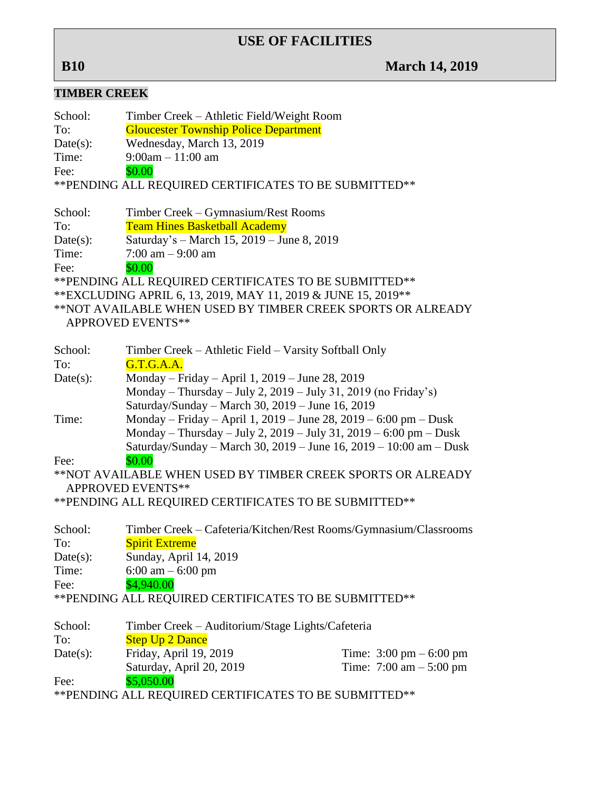## **USE OF FACILITIES**

# **B10 March 14, 2019**

## **TIMBER CREEK**

| ниярык скиры                                                    |                                                        |  |
|-----------------------------------------------------------------|--------------------------------------------------------|--|
| School:                                                         | Timber Creek – Athletic Field/Weight Room              |  |
| To:                                                             | <b>Gloucester Township Police Department</b>           |  |
| Date(s):                                                        | Wednesday, March 13, 2019                              |  |
| Time:                                                           | $9:00am - 11:00am$                                     |  |
| Fee:                                                            | \$0.00                                                 |  |
|                                                                 | ** PENDING ALL REQUIRED CERTIFICATES TO BE SUBMITTED** |  |
|                                                                 |                                                        |  |
| School:                                                         | Timber Creek – Gymnasium/Rest Rooms                    |  |
| To:                                                             | <b>Team Hines Basketball Academy</b>                   |  |
| Date(s):                                                        | Saturday's - March 15, 2019 - June 8, 2019             |  |
| Time:                                                           | $7:00$ am $-9:00$ am                                   |  |
| Fee:                                                            | \$0.00                                                 |  |
| ** PENDING ALL REQUIRED CERTIFICATES TO BE SUBMITTED**          |                                                        |  |
| ** EXCLUDING APRIL 6, 13, 2019, MAY 11, 2019 & JUNE 15, 2019 ** |                                                        |  |
| **NOT AVAILABLE WHEN USED BY TIMBER CREEK SPORTS OR ALREADY     |                                                        |  |
| <b>APPROVED EVENTS**</b>                                        |                                                        |  |
|                                                                 |                                                        |  |

| School:  | Timber Creek – Athletic Field – Varsity Softball Only              |                                           |
|----------|--------------------------------------------------------------------|-------------------------------------------|
| To:      | G.T.G.A.A.                                                         |                                           |
| Date(s): | Monday – Friday – April 1, 2019 – June 28, 2019                    |                                           |
|          | Monday – Thursday – July 2, 2019 – July 31, 2019 (no Friday's)     |                                           |
|          | Saturday/Sunday - March 30, 2019 - June 16, 2019                   |                                           |
| Time:    | Monday – Friday – April 1, 2019 – June 28, 2019 – 6:00 pm – Dusk   |                                           |
|          | Monday – Thursday – July 2, 2019 – July 31, 2019 – 6:00 pm – Dusk  |                                           |
|          | Saturday/Sunday – March 30, 2019 – June 16, 2019 – 10:00 am – Dusk |                                           |
| Fee:     | \$0.00                                                             |                                           |
|          | **NOT AVAILABLE WHEN USED BY TIMBER CREEK SPORTS OR ALREADY        |                                           |
|          | <b>APPROVED EVENTS**</b>                                           |                                           |
|          | ** PENDING ALL REQUIRED CERTIFICATES TO BE SUBMITTED**             |                                           |
|          |                                                                    |                                           |
| School:  | Timber Creek – Cafeteria/Kitchen/Rest Rooms/Gymnasium/Classrooms   |                                           |
| To:      | <b>Spirit Extreme</b>                                              |                                           |
| Date(s): | Sunday, April 14, 2019                                             |                                           |
| Time:    | $6:00 \text{ am} - 6:00 \text{ pm}$                                |                                           |
| Fee:     | \$4,940.00                                                         |                                           |
|          | ** PENDING ALL REQUIRED CERTIFICATES TO BE SUBMITTED**             |                                           |
|          |                                                                    |                                           |
| School:  | Timber Creek – Auditorium/Stage Lights/Cafeteria                   |                                           |
| To:      | <b>Step Up 2 Dance</b>                                             |                                           |
| Date(s): | Friday, April 19, 2019                                             | Time: $3:00 \text{ pm} - 6:00 \text{ pm}$ |
|          |                                                                    |                                           |
|          | Saturday, April 20, 2019                                           | Time: $7:00 \text{ am} - 5:00 \text{ pm}$ |
| Fee:     | \$5,050.00                                                         |                                           |

\*\*PENDING ALL REQUIRED CERTIFICATES TO BE SUBMITTED\*\*